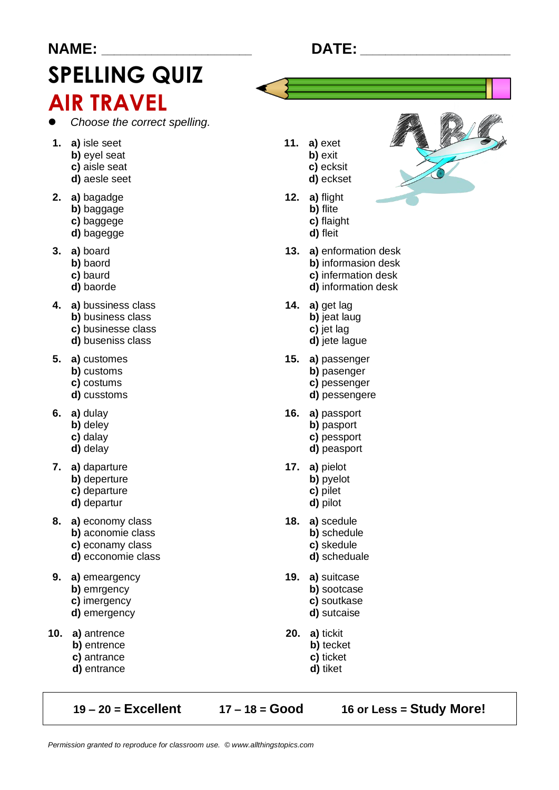# **NAME: SPELLING QUIZ AIR TRAVEL**

- Choose the correct spelling.
- 1. a) isle seet
	- b) evel seat
	- c) aisle seat
	- d) aesle seet
- 2. a) bagadge b) baggage
	- c) baggege
	- d) bagegge
- $3. a)$  board
	- b) baord
	- c) baurd
	- d) baorde
- 4. a) bussiness class
	- b) business class
	- c) businesse class
	- d) buseniss class
- 5. a) customes
	- b) customs
	- c) costums
	- d) cusstoms
- $6. a)$  dulay
	- b) deley
	- c) dalay
	- d) delay
- 7. a) daparture
	- b) deperture
	- c) departure d) departur
	-
- 8. a) economy class b) aconomie class
	- c) econamy class
	- d) ecconomie class
- 9. a) emeargency b) emrgency c) imergency
	- d) emergency
	-
- 10. a) antrence b) entrence
	- c) antrance
	- d) entrance

 $19 - 20 =$  Excellent

 $17 - 18 = Good$ 

16 or Less = Study More!

### 11.  $a)$  exet b) exit c) ecksit

- d) eckset
- 12.  $a)$  flight b) flite
	- c) flaight d) fleit
- 13. a) enformation desk b) informasion desk c) infermation desk d) information desk
- 14. a) get lag b) jeat laug
	- c) jet lag
	- d) jete lague
- 15. a) passenger b) pasenger c) pessenger d) pessengere
- 16. a) passport b) pasport c) pessport
	- d) peasport
- 17. a) pielot b) pyelot c) pilet d) pilot
- 18. a) scedule b) schedule c) skedule d) scheduale
- 19. a) suitcase b) sootcase c) soutkase d) sutcaise
- **20.** a) tickit
	- b) tecket
	- c) ticket
	- d) tiket
		-



### **DATE:**